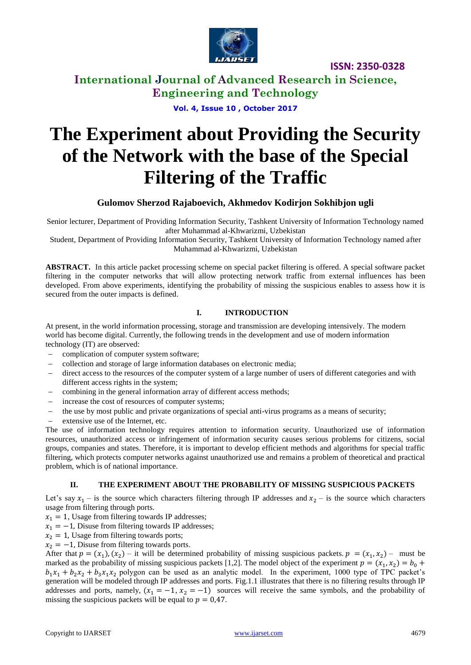

**International Journal of Advanced Research in Science, Engineering and Technology**

**Vol. 4, Issue 10 , October 2017**

# **The Experiment about Providing the Security of the Network with the base of the Special Filtering of the Traffic**

# **Gulomov Sherzod Rajaboevich, Akhmedov Kodirjon Sokhibjon ugli**

Senior lecturer, Department of Providing Information Security, Tashkent University of Information Technology named after Muhammad al-Khwarizmi, Uzbekistan

Student, Department of Providing Information Security, Tashkent University of Information Technology named after Muhammad al-Khwarizmi, Uzbekistan

**ABSTRACT.** In this article packet processing scheme on special packet filtering is offered. A special software packet filtering in the computer networks that will allow protecting network traffic from external influences has been developed. From above experiments, identifying the probability of missing the suspicious enables to assess how it is secured from the outer impacts is defined.

### **I. INTRODUCTION**

At present, in the world information processing, storage and transmission are developing intensively. The modern world has become digital. Currently, the following trends in the development and use of modern information technology (IT) are observed:

- complication of computer system software;
- collection and storage of large information databases on electronic media;
- direct access to the resources of the computer system of a large number of users of different categories and with different access rights in the system;
- combining in the general information array of different access methods;
- increase the cost of resources of computer systems;
- the use by most public and private organizations of special anti-virus programs as a means of security;
- extensive use of the Internet, etc.

The use of information technology requires attention to information security. Unauthorized use of information resources, unauthorized access or infringement of information security causes serious problems for citizens, social groups, companies and states. Therefore, it is important to develop efficient methods and algorithms for special traffic filtering, which protects computer networks against unauthorized use and remains a problem of theoretical and practical problem, which is of national importance.

### **II. THE EXPERIMENT ABOUT THE PROBABILITY OF MISSING SUSPICIOUS PACKETS**

Let's say  $x_1$  – is the source which characters filtering through IP addresses and  $x_2$  – is the source which characters usage from filtering through ports.

 $x_1 = 1$ , Usage from filtering towards IP addresses;

 $x_1 = -1$ , Disuse from filtering towards IP addresses;

 $x_2 = 1$ , Usage from filtering towards ports;

 $x_2 = -1$ , Disuse from filtering towards ports.

After that  $p = (x_1), (x_2)$  – it will be determined probability of missing suspicious packets.  $p = (x_1, x_2)$  – must be marked as the probability of missing suspicious packets [1,2]. The model object of the experiment  $p = (x_1, x_2) = b_0 +$  $b_1x_1 + b_2x_2 + b_3x_1x_2$  polygon can be used as an analytic model. In the experiment, 1000 type of TPC packet's generation will be modeled through IP addresses and ports. Fig.1.1 illustrates that there is no filtering results through IP addresses and ports, namely,  $(x_1 = -1, x_2 = -1)$  sources will receive the same symbols, and the probability of missing the suspicious packets will be equal to  $p = 0.47$ .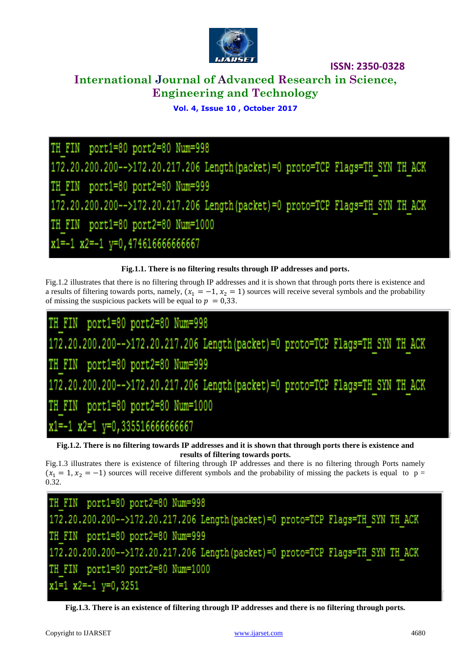

# **International Journal of Advanced Research in Science, Engineering and Technology**

# **Vol. 4, Issue 10 , October 2017**

TH FIN port1=80 port2=80 Num=998 172.20.200.200-->172.20.217.206 Length (packet) =0 proto=TCP Flags=TH SYN TH ACK TH FIN port1=80 port2=80 Num=999 172.20.200.200-->172.20.217.206 Length (packet)=0 proto=TCP Flags=TH SYN TH ACK TH FIN port1=80 port2=80 Num=1000  $x1=-1$   $x2=-1$   $y=0$ , 474616666666667

# **Fig.1.1. There is no filtering results through IP addresses and ports.**

Fig.1.2 illustrates that there is no filtering through IP addresses and it is shown that through ports there is existence and a results of filtering towards ports, namely,  $(x_1 = -1, x_2 = 1)$  sources will receive several symbols and the probability of missing the suspicious packets will be equal to  $p = 0.33$ .

FIN port1=80 port2=80 Num=998 172.20.200.200-->172.20.217.206 Length (packet) =0 proto=TCP Flags=TH SYN TH ACK TH FIN port1=80 port2=80 Num=999 172.20.200.200-->172.20.217.206 Length (packet) =0 proto=TCP Flags=TH SYN TH ACK TH FIN port1=80 port2=80 Num=1000 x1 = - 1 x2 = 1 y = 0, 3355166666666667

**Fig.1.2. There is no filtering towards IP addresses and it is shown that through ports there is existence and results of filtering towards ports.**

Fig.1.3 illustrates there is existence of filtering through IP addresses and there is no filtering through Ports namely  $(x_1 = 1, x_2 = -1)$  sources will receive different symbols and the probability of missing the packets is equal to p = 0.32.

TH FIN port1=80 port2=80 Num=998 172.20.200.200-->172.20.217.206 Length (packet) =0 proto=TCP Flags=TH SYN TH ACK TH FIN port1=80 port2=80 Num=999 172.20.200.200-->172.20.217.206 Length (packet) =0 proto=TCP Flags=TH SYN TH ACK TH FIN port1=80 port2=80 Num=1000  $x1=1$   $x2=-1$   $y=0,3251$ 

**Fig.1.3. There is an existence of filtering through IP addresses and there is no filtering through ports.**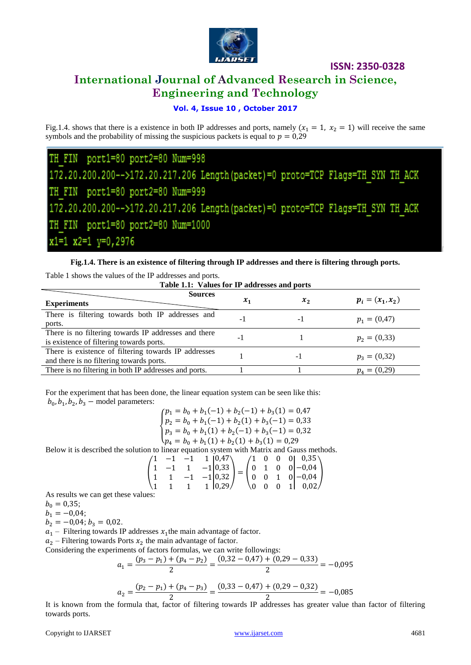

# **International Journal of Advanced Research in Science, Engineering and Technology**

### **Vol. 4, Issue 10 , October 2017**

Fig.1.4. shows that there is a existence in both IP addresses and ports, namely  $(x_1 = 1, x_2 = 1)$  will receive the same symbols and the probability of missing the suspicious packets is equal to  $p = 0.29$ 

TH FIN port1=80 port2=80 Num=998 172.20.200.200-->172.20.217.206 Length (packet) =0 proto=TCP Flags=TH SYN TH ACK TH FIN port1=80 port2=80 Num=999 172.20.200.200-->172.20.217.206 Length (packet) =0 proto=TCP Flags=TH SYN TH ACK port1=80 port2=80 Num=1000 FIN x1=1 x2=1 y=0,2976

**Fig.1.4. There is an existence of filtering through IP addresses and there is filtering through ports.**

| Table 1.1: Values for IP addresses and ports                                                     |       |         |                    |  |  |  |
|--------------------------------------------------------------------------------------------------|-------|---------|--------------------|--|--|--|
| <b>Sources</b><br><b>Experiments</b>                                                             | $x_1$ | $x_{2}$ | $p_i = (x_1, x_2)$ |  |  |  |
| There is filtering towards both IP addresses and<br>ports.                                       | - 1   | - 1     | $p_1 = (0, 47)$    |  |  |  |
| There is no filtering towards IP addresses and there<br>is existence of filtering towards ports. | - 1   |         | $p_2 = (0,33)$     |  |  |  |
| There is existence of filtering towards IP addresses<br>and there is no filtering towards ports. |       | $-1$    | $p_3 = (0,32)$     |  |  |  |
| There is no filtering in both IP addresses and ports.                                            |       |         | $p_4 = (0,29)$     |  |  |  |

Table 1 shows the values of the IP addresses and ports.

For the experiment that has been done, the linear equation system can be seen like this:  $b_0$ ,  $b_1$ ,  $b_2$ ,  $b_3$  – model parameters:

 $\overline{\mathcal{L}}$  $\overline{1}$  $\begin{cases} p_1 = b_0 + b_1(-1) + b_2(-1) + b_3(1) = 0.47 \\ m - b_1 + b_2(-1) + b_3(1) + b_4(-1) = 0.23 \end{cases}$  $p_2 = b_0 + b_1(-1) + b_2(1) + b_3(-1) = 0.33$  $p_3 = b_0 + b_1(1) + b_2(-1) + b_3(-1) = 0,32$  $p_4 = b_0 + b_1(1) + b_2(1) + b_3(1) = 0.29$ 

Below it is described the solution to linear equation system with Matrix and Gauss methods.

$$
\begin{pmatrix} 1 & -1 & -1 & 1 & 0.47 \\ 1 & -1 & 1 & -1 & 0.33 \\ 1 & 1 & -1 & -1 & 0.32 \\ 1 & 1 & 1 & 1 & 0.29 \end{pmatrix} = \begin{pmatrix} 1 & 0 & 0 & 0 & 0.35 \\ 0 & 1 & 0 & 0 & -0.04 \\ 0 & 0 & 1 & 0 & -0.04 \\ 0 & 0 & 0 & 1 & 0.02 \end{pmatrix}
$$

As results we can get these values:

 $b_0 = 0.35;$ 

 $b_1 = -0.04;$ 

 $b_2 = -0.04$ ;  $b_3 = 0.02$ .

 $a_1$  – Filtering towards IP addresses  $x_1$ the main advantage of factor.

 $a_2$  – Filtering towards Ports  $x_2$  the main advantage of factor.

Considering the experiments of factors formulas, we can write followings:

$$
a_1 = \frac{(p_3 - p_1) + (p_4 - p_2)}{2} = \frac{(0.32 - 0.47) + (0.29 - 0.33)}{2} = -0.095
$$

$$
a_2 = \frac{(p_2 - p_1) + (p_4 - p_3)}{2} = \frac{(0.33 - 0.47) + (0.29 - 0.32)}{2} = -0.085
$$

It is known from the formula that, factor of filtering towards IP addresses has greater value than factor of filtering towards ports.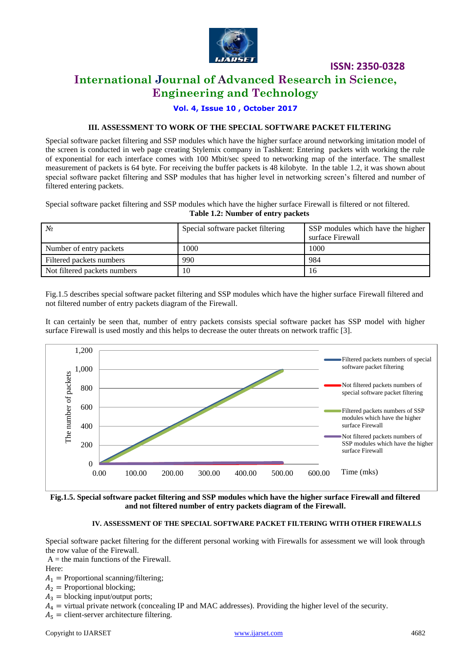

# **International Journal of Advanced Research in Science, Engineering and Technology**

**Vol. 4, Issue 10 , October 2017**

#### **III. ASSESSMENT TO WORK OF THE SPECIAL SOFTWARE PACKET FILTERING**

Special software packet filtering and SSP modules which have the higher surface around networking imitation model of the screen is conducted in web page creating Stylemix company in Tashkent: Entering packets with working the rule of exponential for each interface comes with 100 Mbit/sec speed to networking map of the interface. The smallest measurement of packets is 64 byte. For receiving the buffer packets is 48 kilobyte. In the table 1.2, it was shown about special software packet filtering and SSP modules that has higher level in networking screen's filtered and number of filtered entering packets.

Special software packet filtering and SSP modules which have the higher surface Firewall is filtered or not filtered. **Table 1.2: Number of entry packets**

| N <sub>2</sub>               | Special software packet filtering | SSP modules which have the higher<br>surface Firewall |
|------------------------------|-----------------------------------|-------------------------------------------------------|
| Number of entry packets      | 1000                              | 1000                                                  |
| Filtered packets numbers     | 990                               | 984                                                   |
| Not filtered packets numbers | 10                                | 16                                                    |

Fig.1.5 describes special software packet filtering and SSP modules which have the higher surface Firewall filtered and not filtered number of entry packets diagram of the Firewall.

It can certainly be seen that, number of entry packets consists special software packet has SSP model with higher surface Firewall is used mostly and this helps to decrease the outer threats on network traffic [3].



**Fig.1.5. Special software packet filtering and SSP modules which have the higher surface Firewall and filtered and not filtered number of entry packets diagram of the Firewall.**

#### **IV. ASSESSMENT OF THE SPECIAL SOFTWARE PACKET FILTERING WITH OTHER FIREWALLS**

Special software packet filtering for the different personal working with Firewalls for assessment we will look through the row value of the Firewall.

 $A =$  the main functions of the Firewall.

Here:

 $A_1$  = Proportional scanning/filtering;

 $A_2$  = Proportional blocking;

 $A_3$  = blocking input/output ports;

 $A_4$  = virtual private network (concealing IP and MAC addresses). Providing the higher level of the security.

 $A_5$  = client-server architecture filtering.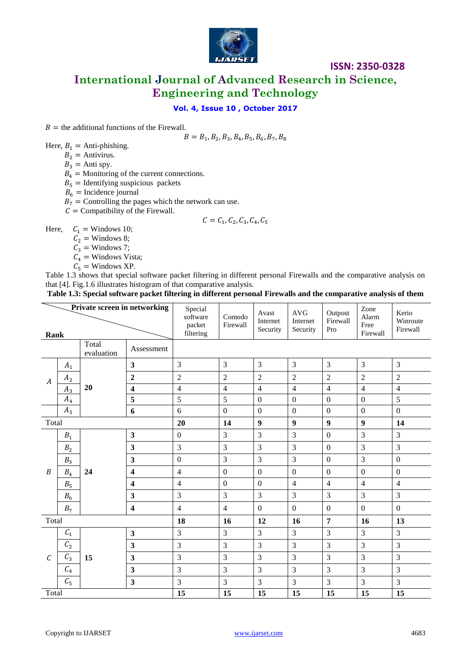

**International Journal of Advanced Research in Science, Engineering and Technology**

### **Vol. 4, Issue 10 , October 2017**

 $B =$  the additional functions of the Firewall.

 $B = B_1, B_2, B_3, B_4, B_5, B_6, B_7, B_8$ 

Here,  $B_1$  = Anti-phishing.

- $B_2$  = Antivirus.
	- $B_3$  = Anti spy.
	- $B_4$  = Monitoring of the current connections.
	- $\overrightarrow{B_5}$  = Identifying suspicious packets
	- $B_6$  = Incidence journal
	- $B_7$  = Controlling the pages which the network can use.
	- $C =$  Compatibility of the Firewall.

$$
\mathcal{C} = \mathcal{C}_1, \mathcal{C}_2, \mathcal{C}_3, \mathcal{C}_4, \mathcal{C}_5
$$

Here,  $C_1 =$  Windows 10;

- $C_2$  = Windows 8;
- $\tilde{C_3}$  = Windows 7;
- $C_4$  = Windows Vista;
- $C_5$  = Windows XP.

Table 1.3 shows that special software packet filtering in different personal Firewalls and the comparative analysis on that [4]. Fig.1.6 illustrates histogram of that comparative analysis.

|  | Table 1.3: Special software packet filtering in different personal Firewalls and the comparative analysis of them |  |
|--|-------------------------------------------------------------------------------------------------------------------|--|
|  |                                                                                                                   |  |

| Private screen in networking<br>Rank |                 | Special<br>software<br>packet<br>filtering | Comodo<br>Firewall      | Avast<br>Internet<br>Security | <b>AVG</b><br>Internet<br>Security | Outpost<br>Firewall<br>Pro | Zone<br>Alarm<br>Free<br>Firewall | Kerio<br>Winroute<br>Firewall |                  |                  |
|--------------------------------------|-----------------|--------------------------------------------|-------------------------|-------------------------------|------------------------------------|----------------------------|-----------------------------------|-------------------------------|------------------|------------------|
| Total<br>Assessment<br>evaluation    |                 |                                            |                         |                               |                                    |                            |                                   |                               |                  |                  |
| $\boldsymbol{A}$                     | $A_1$           |                                            | $\overline{\mathbf{3}}$ | 3                             | 3                                  | 3                          | $\overline{3}$                    | 3                             | 3                | 3                |
|                                      | A <sub>2</sub>  |                                            | $\mathbf{2}$            | $\overline{2}$                | $\overline{2}$                     | $\overline{2}$             | $\overline{2}$                    | $\overline{2}$                | $\overline{2}$   | $\overline{c}$   |
|                                      | $A_3$           | 20                                         | $\overline{\mathbf{4}}$ | $\overline{\mathbf{4}}$       | $\overline{4}$                     | $\overline{4}$             | $\overline{4}$                    | $\overline{4}$                | $\overline{4}$   | $\overline{4}$   |
|                                      | $A_4$           |                                            | 5                       | 5                             | 5                                  | $\boldsymbol{0}$           | $\overline{0}$                    | $\boldsymbol{0}$              | $\overline{0}$   | 5                |
|                                      | $A_5$           |                                            | 6                       | 6                             | $\boldsymbol{0}$                   | $\boldsymbol{0}$           | $\boldsymbol{0}$                  | $\boldsymbol{0}$              | $\boldsymbol{0}$ | $\mathbf{0}$     |
| Total                                |                 | 20                                         | 14                      | $\boldsymbol{9}$              | $\boldsymbol{9}$                   | $\boldsymbol{9}$           | $\boldsymbol{9}$                  | 14                            |                  |                  |
|                                      | $B_{\rm 1}$     |                                            | $\overline{\mathbf{3}}$ | $\boldsymbol{0}$              | $\overline{3}$                     | $\overline{3}$             | $\overline{3}$                    | $\boldsymbol{0}$              | $\overline{3}$   | 3                |
|                                      | $B_{\rm 2}$     |                                            | $\overline{\mathbf{3}}$ | 3                             | 3                                  | 3                          | 3                                 | $\boldsymbol{0}$              | 3                | 3                |
|                                      | $B_3$           | 24                                         | $\overline{\mathbf{3}}$ | $\boldsymbol{0}$              | 3                                  | $\overline{3}$             | $\overline{3}$                    | $\boldsymbol{0}$              | $\overline{3}$   | $\boldsymbol{0}$ |
| B                                    | $B_4$           |                                            | $\overline{\mathbf{4}}$ | $\overline{4}$                | $\boldsymbol{0}$                   | $\boldsymbol{0}$           | $\boldsymbol{0}$                  | $\boldsymbol{0}$              | $\boldsymbol{0}$ | $\boldsymbol{0}$ |
|                                      | $B_5\,$         |                                            | $\overline{\mathbf{4}}$ | $\overline{4}$                | $\boldsymbol{0}$                   | $\boldsymbol{0}$           | $\overline{4}$                    | $\overline{4}$                | $\overline{4}$   | $\overline{4}$   |
|                                      | $B_6\,$         |                                            | $\overline{\mathbf{3}}$ | 3                             | 3                                  | 3                          | 3                                 | 3                             | 3                | 3                |
|                                      | B <sub>7</sub>  |                                            | $\overline{\mathbf{4}}$ | $\overline{4}$                | $\overline{4}$                     | $\mathbf{0}$               | $\boldsymbol{0}$                  | $\boldsymbol{0}$              | $\boldsymbol{0}$ | $\boldsymbol{0}$ |
| Total                                |                 | 18                                         | 16                      | 12                            | 16                                 | $\overline{7}$             | 16                                | 13                            |                  |                  |
| $\mathcal{C}_{0}$                    | $\mathcal{C}_1$ | 15                                         | $\overline{\mathbf{3}}$ | 3                             | 3                                  | 3                          | 3                                 | 3                             | 3                | 3                |
|                                      | $\mathcal{C}_2$ |                                            | $\overline{\mathbf{3}}$ | 3                             | 3                                  | $\mathfrak{Z}$             | $\overline{3}$                    | $\mathfrak{Z}$                | 3                | 3                |
|                                      | $C_3$           |                                            | $\overline{\mathbf{3}}$ | 3                             | 3                                  | $\overline{3}$             | 3                                 | $\overline{3}$                | 3                | 3                |
|                                      | $C_4$           |                                            | $\overline{\mathbf{3}}$ | 3                             | 3                                  | $\overline{3}$             | 3                                 | $\overline{3}$                | 3                | 3                |
|                                      | $C_{5}$         |                                            | $\overline{\mathbf{3}}$ | 3                             | 3                                  | 3                          | 3                                 | 3                             | 3                | 3                |
| Total                                |                 | 15                                         | 15                      | 15                            | 15                                 | 15                         | 15                                | 15                            |                  |                  |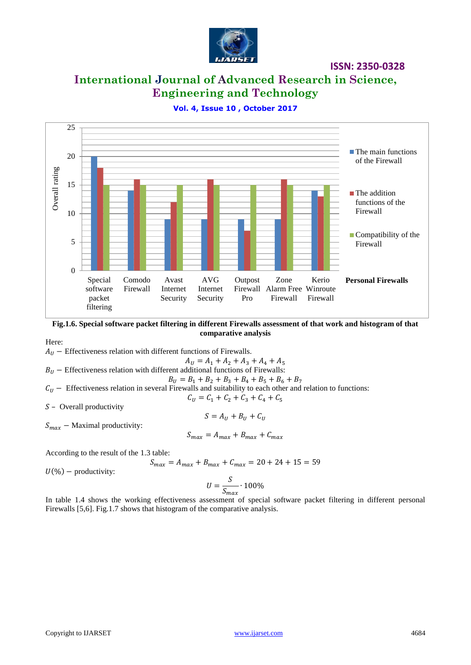

# **International Journal of Advanced Research in Science, Engineering and Technology**

**Vol. 4, Issue 10 , October 2017**



**Fig.1.6. Special software packet filtering in different Firewalls assessment of that work and histogram of that comparative analysis**

Here:

 $A_{II}$  – Effectiveness relation with different functions of Firewalls.

$$
A_U = A_1 + A_2 + A_3 + A_4 + A_5
$$

 $B_{II}$  – Effectiveness relation with different additional functions of Firewalls: = <sup>1</sup> +<sup>2</sup> + <sup>3</sup> +<sup>4</sup> + <sup>5</sup> + <sup>6</sup> + <sup>7</sup>

$$
B_U = B_1 + B_2 + B_3 + B_4 + B_5 + B_6 + B_7
$$
  
 *ii* is equal. *Figure 11* and *with l it it it it it it it it it it it it it it it it it it it it it it it it it it it it it it it it it it it it it it it it it it it it it it it it it it it it it it it it it it it it it it it it it it it it it it it it it it it it it it it it it it it it it it it it it it it it it it it it it it* 

 $C_U$  − Effectiveness relation in several Firewalls and suitability to each other and relation to functions:  $C_{U} = C_1 + C_2 + C_3 + C_4 + C_5$ 

 $S$  – Overall productivity

 $S = A_{U} + B_{U} + C_{U}$ 

 $S_{max}$  – Maximal productivity:

$$
S_{max} = A_{max} + B_{max} + C_{max}
$$

According to the result of the 1.3 table:

$$
S_{max} = A_{max} + B_{max} + C_{max} = 20 + 24 + 15 = 59
$$

 $U(\%)$  – productivity:

$$
U = \frac{S}{S_{max}} \cdot 100\%
$$

In table 1.4 shows the working effectiveness assessment of special software packet filtering in different personal Firewalls [5,6]. Fig.1.7 shows that histogram of the comparative analysis.